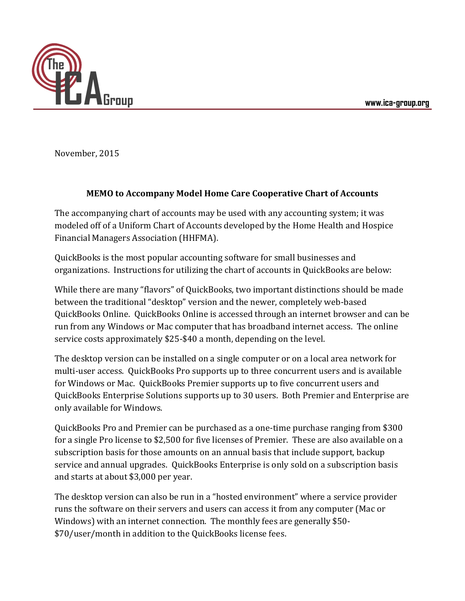

November, 2015

## **MEMO to Accompany Model Home Care Cooperative Chart of Accounts**

The accompanying chart of accounts may be used with any accounting system; it was modeled off of a Uniform Chart of Accounts developed by the Home Health and Hospice Financial Managers Association (HHFMA).

QuickBooks is the most popular accounting software for small businesses and organizations. Instructions for utilizing the chart of accounts in QuickBooks are below:

While there are many "flavors" of QuickBooks, two important distinctions should be made between the traditional "desktop" version and the newer, completely web-based QuickBooks Online. QuickBooks Online is accessed through an internet browser and can be run from any Windows or Mac computer that has broadband internet access. The online service costs approximately \$25-\$40 a month, depending on the level.

The desktop version can be installed on a single computer or on a local area network for multi-user access. QuickBooks Pro supports up to three concurrent users and is available for Windows or Mac. QuickBooks Premier supports up to five concurrent users and QuickBooks Enterprise Solutions supports up to 30 users. Both Premier and Enterprise are only available for Windows.

QuickBooks Pro and Premier can be purchased as a one-time purchase ranging from \$300 for a single Pro license to \$2,500 for five licenses of Premier. These are also available on a subscription basis for those amounts on an annual basis that include support, backup service and annual upgrades. QuickBooks Enterprise is only sold on a subscription basis and starts at about \$3,000 per year.

The desktop version can also be run in a "hosted environment" where a service provider runs the software on their servers and users can access it from any computer (Mac or Windows) with an internet connection. The monthly fees are generally \$50- \$70/user/month in addition to the QuickBooks license fees.